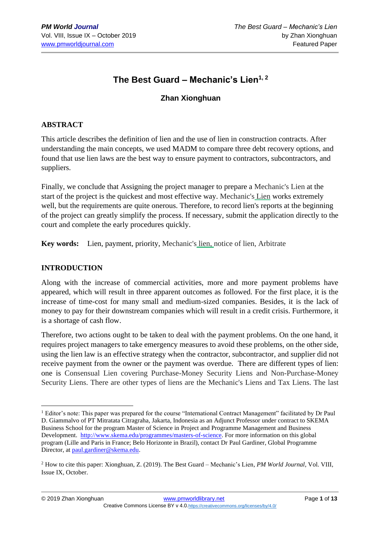# **The Best Guard – Mechanic's Lien1, 2**

# **Zhan Xionghuan**

## **ABSTRACT**

This article describes the definition of lien and the use of lien in construction contracts. After understanding the main concepts, we used MADM to compare three debt recovery options, and found that use lien laws are the best way to ensure payment to contractors, subcontractors, and suppliers.

Finally, we conclude that Assigning the project manager to prepare a Mechanic's Lien at the start of the project is the quickest and most effective way. Mechanic's Lien works extremely well, but the requirements are quite onerous. Therefore, to record lien's reports at the beginning of the project can greatly simplify the process. If necessary, submit the application directly to the court and complete the early procedures quickly.

**Key words:** Lien, payment, priority, Mechanic's lien, notice of lien, Arbitrate

#### **INTRODUCTION**

Along with the increase of commercial activities, more and more payment problems have appeared, which will result in three apparent outcomes as followed. For the first place, it is the increase of time-cost for many small and medium-sized companies. Besides, it is the lack of money to pay for their downstream companies which will result in a credit crisis. Furthermore, it is a shortage of cash flow.

Therefore, two actions ought to be taken to deal with the payment problems. On the one hand, it requires project managers to take emergency measures to avoid these problems, on the other side, using the lien law is an effective strategy when the contractor, subcontractor, and supplier did not receive payment from the owner or the payment was overdue. There are different types of lien: one is Consensual Lien covering Purchase-Money Security Liens and Non-Purchase-Money Security Liens. There are other types of liens are the Mechanic's Liens and Tax Liens. The last

<sup>&</sup>lt;sup>1</sup> Editor's note: This paper was prepared for the course "International Contract Management" facilitated by Dr Paul D. Giammalvo of PT Mitratata Citragraha, Jakarta, Indonesia as an Adjunct Professor under contract to SKEMA Business School for the program Master of Science in Project and Programme Management and Business Development. [http://www.skema.edu/programmes/masters-of-science.](http://www.skema.edu/programmes/masters-of-science) For more information on this global program (Lille and Paris in France; Belo Horizonte in Brazil), contact Dr Paul Gardiner, Global Programme Director, at [paul.gardiner@skema.edu.](mailto:paul.gardiner@skema.edu)

<sup>2</sup> How to cite this paper: Xionghuan, Z. (2019). The Best Guard – Mechanic's Lien, *PM World Journal*, Vol. VIII, Issue IX, October.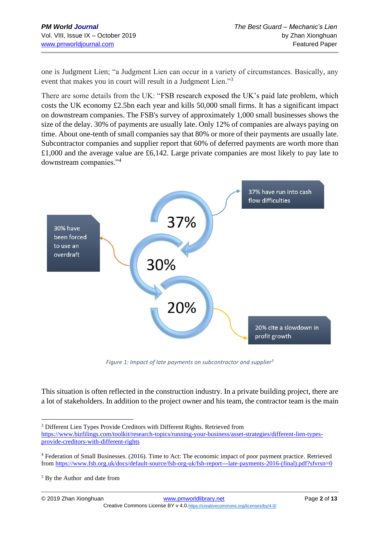one is Judgment Lien; "a Judgment Lien can occur in a variety of circumstances. Basically, any event that makes you in court will result in a Judgment Lien."<sup>3</sup>

There are some details from the UK: "FSB research exposed the UK's paid late problem, which costs the UK economy £2.5bn each year and kills 50,000 small firms. It has a significant impact on downstream companies. The FSB's survey of approximately 1,000 small businesses shows the size of the delay. 30% of payments are usually late. Only 12% of companies are always paying on time. About one-tenth of small companies say that 80% or more of their payments are usually late. Subcontractor companies and supplier report that 60% of deferred payments are worth more than £1,000 and the average value are £6,142. Large private companies are most likely to pay late to downstream companies."<sup>4</sup>



*Figure 1: Impact of late payments on subcontractor and supplier<sup>5</sup>*

This situation is often reflected in the construction industry. In a private building project, there are a lot of stakeholders. In addition to the project owner and his team, the contractor team is the main

<sup>&</sup>lt;sup>3</sup> Different Lien Types Provide Creditors with Different Rights. Retrieved from [https://www.bizfilings.com/toolkit/research-topics/running-your-business/asset-strategies/different-lien-types](https://www.bizfilings.com/toolkit/research-topics/running-your-business/asset-strategies/different-lien-types-provide-creditors-with-different-rights)[provide-creditors-with-different-rights](https://www.bizfilings.com/toolkit/research-topics/running-your-business/asset-strategies/different-lien-types-provide-creditors-with-different-rights)

<sup>4</sup> Federation of Small Businesses. (2016). Time to Act: The economic impact of poor payment practice. Retrieved from [https://www.fsb.org.uk/docs/default-source/fsb-org-uk/fsb-report---late-payments-2016-\(final\).pdf?sfvrsn=0](https://www.fsb.org.uk/docs/default-source/fsb-org-uk/fsb-report---late-payments-2016-(final).pdf?sfvrsn=0)

<sup>5</sup> By the Author and date from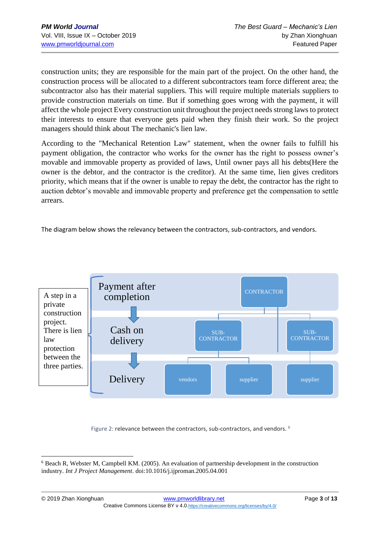construction units; they are responsible for the main part of the project. On the other hand, the construction process will be allocated to a different subcontractors team force different area; the subcontractor also has their material suppliers. This will require multiple materials suppliers to provide construction materials on time. But if something goes wrong with the payment, it will affect the whole project Every construction unit throughout the project needs strong laws to protect their interests to ensure that everyone gets paid when they finish their work. So the project managers should think about The mechanic's lien law.

According to the "Mechanical Retention Law" statement, when the owner fails to fulfill his payment obligation, the contractor who works for the owner has the right to possess owner's movable and immovable property as provided of laws, Until owner pays all his debts(Here the owner is the debtor, and the contractor is the creditor). At the same time, lien gives creditors priority, which means that if the owner is unable to repay the debt, the contractor has the right to auction debtor's movable and immovable property and preference get the compensation to settle arrears.

The diagram below shows the relevancy between the contractors, sub-contractors, and vendors.



Figure 2: relevance between the contractors, sub-contractors, and vendors. <sup>6</sup>

<sup>6</sup> Beach R, Webster M, Campbell KM. (2005). An evaluation of partnership development in the construction industry. *Int J Project Management*. doi:10.1016/j.ijproman.2005.04.001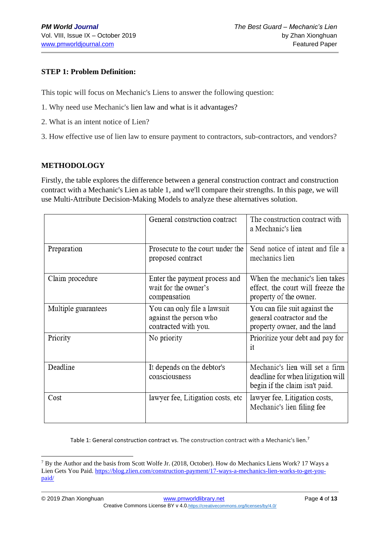## **STEP 1: Problem Definition:**

This topic will focus on Mechanic's Liens to answer the following question:

- 1. Why need use Mechanic's lien law and what is it advantages?
- 2. What is an intent notice of Lien?
- 3. How effective use of lien law to ensure payment to contractors, sub-contractors, and vendors?

## **METHODOLOGY**

Firstly, the table explores the difference between a general construction contract and construction contract with a Mechanic's Lien as table 1, and we'll compare their strengths. In this page, we will use Multi-Attribute Decision-Making Models to analyze these alternatives solution.

|                     | General construction contract                                                 | The construction contract with<br>a Mechanic's lien                                                    |  |
|---------------------|-------------------------------------------------------------------------------|--------------------------------------------------------------------------------------------------------|--|
| Preparation         | Prosecute to the court under the<br>proposed contract                         | Send notice of intent and file a<br>mechanics lien                                                     |  |
| Claim procedure     | Enter the payment process and<br>wait for the owner's<br>compensation         | When the mechanic's lien takes<br>effect, the court will freeze the<br>property of the owner.          |  |
| Multiple guarantees | You can only file a lawsuit<br>against the person who<br>contracted with you. | You can file suit against the<br>general contractor and the<br>property owner, and the land            |  |
| Priority            | No priority                                                                   | Prioritize your debt and pay for<br>it                                                                 |  |
| Deadline            | It depends on the debtor's<br>consciousness                                   | Mechanic's lien will set a firm<br>deadline for when litigation will<br>begin if the claim isn't paid. |  |
| Cost                | lawyer fee, Litigation costs, etc                                             | lawyer fee, Litigation costs,<br>Mechanic's lien filing fee                                            |  |

Table 1: General construction contract vs. The construction contract with a Mechanic's lien.<sup>7</sup>

<sup>7</sup> By the Author and the basis from Scott Wolfe Jr. (2018, October). How do Mechanics Liens Work? 17 Ways a Lien Gets You Paid. [https://blog.zlien.com/construction-payment/17-ways-a-mechanics-lien-works-to-get-you](https://blog.zlien.com/construction-payment/17-ways-a-mechanics-lien-works-to-get-you-paid/)[paid/](https://blog.zlien.com/construction-payment/17-ways-a-mechanics-lien-works-to-get-you-paid/)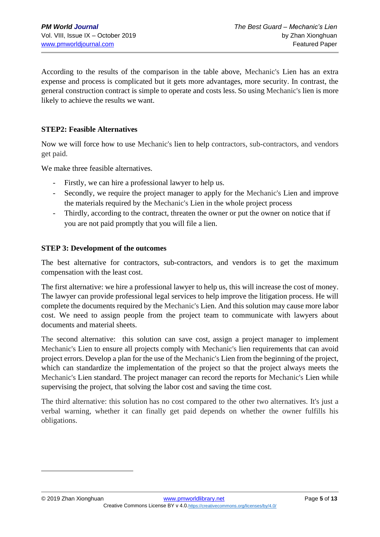According to the results of the comparison in the table above, Mechanic's Lien has an extra expense and process is complicated but it gets more advantages, more security. In contrast, the general construction contract is simple to operate and costs less. So using Mechanic's lien is more likely to achieve the results we want.

#### **STEP2: Feasible Alternatives**

Now we will force how to use Mechanic's lien to help contractors, sub-contractors, and vendors get paid.

We make three feasible alternatives.

- Firstly, we can hire a professional lawyer to help us.
- Secondly, we require the project manager to apply for the Mechanic's Lien and improve the materials required by the Mechanic's Lien in the whole project process
- Thirdly, according to the contract, threaten the owner or put the owner on notice that if you are not paid promptly that you will file a lien.

#### **STEP 3: Development of the outcomes**

The best alternative for contractors, sub-contractors, and vendors is to get the maximum compensation with the least cost.

The first alternative: we hire a professional lawyer to help us, this will increase the cost of money. The lawyer can provide professional legal services to help improve the litigation process. He will complete the documents required by the Mechanic's Lien. And this solution may cause more labor cost. We need to assign people from the project team to communicate with lawyers about documents and material sheets.

The second alternative: this solution can save cost, assign a project manager to implement Mechanic's Lien to ensure all projects comply with Mechanic's lien requirements that can avoid project errors. Develop a plan for the use of the Mechanic's Lien from the beginning of the project, which can standardize the implementation of the project so that the project always meets the Mechanic's Lien standard. The project manager can record the reports for Mechanic's Lien while supervising the project, that solving the labor cost and saving the time cost.

The third alternative: this solution has no cost compared to the other two alternatives. It's just a verbal warning, whether it can finally get paid depends on whether the owner fulfills his obligations.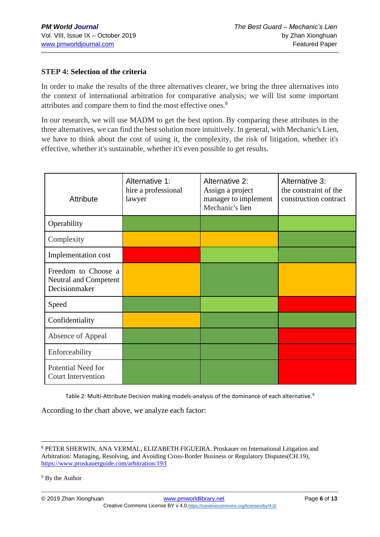## **STEP 4: Selection of the criteria**

In order to make the results of the three alternatives clearer, we bring the three alternatives into the context of international arbitration for comparative analysis; we will list some important attributes and compare them to find the most effective ones.<sup>8</sup>

In our research, we will use MADM to get the best option. By comparing these attributes in the three alternatives, we can find the best solution more intuitively. In general, with Mechanic's Lien, we have to think about the cost of using it, the complexity, the risk of litigation, whether it's effective, whether it's sustainable, whether it's even possible to get results.

| <b>Attribute</b>                                              | Alternative 1:<br>hire a professional<br>lawyer | Alternative 2:<br>Assign a project<br>manager to implement<br>Mechanic's lien | Alternative 3:<br>the constraint of the<br>construction contract |
|---------------------------------------------------------------|-------------------------------------------------|-------------------------------------------------------------------------------|------------------------------------------------------------------|
| Operability                                                   |                                                 |                                                                               |                                                                  |
| Complexity                                                    |                                                 |                                                                               |                                                                  |
| Implementation cost                                           |                                                 |                                                                               |                                                                  |
| Freedom to Choose a<br>Neutral and Competent<br>Decisionmaker |                                                 |                                                                               |                                                                  |
| Speed                                                         |                                                 |                                                                               |                                                                  |
| Confidentiality                                               |                                                 |                                                                               |                                                                  |
| Absence of Appeal                                             |                                                 |                                                                               |                                                                  |
| Enforceability                                                |                                                 |                                                                               |                                                                  |
| Potential Need for<br><b>Court Intervention</b>               |                                                 |                                                                               |                                                                  |

Table 2: Multi-Attribute Decision making models-analysis of the dominance of each alternative.<sup>9</sup>

According to the chart above, we analyze each factor:

© 2019 Zhan Xionghuan [www.pmworldlibrary.net](http://www.pmworldlibrary.net/) Page **6** of **13** Creative Commons License BY v 4.0.<https://creativecommons.org/licenses/by/4.0/>

<sup>8</sup> PETER SHERWIN, ANA VERMAL, ELIZABETH FIGUEIRA. Proskauer on International Litigation and Arbitration: Managing, Resolving, and Avoiding Cross-Border Business or Regulatory Disputes(CH.19), <https://www.proskauerguide.com/arbitration/19/I>

<sup>&</sup>lt;sup>9</sup> By the Author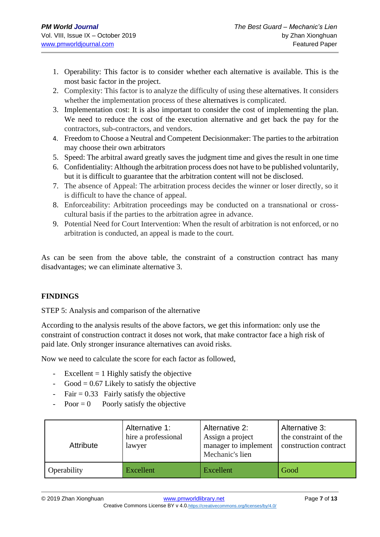- 1. Operability: This factor is to consider whether each alternative is available. This is the most basic factor in the project.
- 2. Complexity: This factor is to analyze the difficulty of using these alternatives. It considers whether the implementation process of these alternatives is complicated.
- 3. Implementation cost: It is also important to consider the cost of implementing the plan. We need to reduce the cost of the execution alternative and get back the pay for the contractors, sub-contractors, and vendors.
- 4. Freedom to Choose a Neutral and Competent Decisionmaker: The parties to the arbitration may choose their own arbitrators
- 5. Speed: The arbitral award greatly saves the judgment time and gives the result in one time
- 6. Confidentiality: Although the arbitration process does not have to be published voluntarily, but it is difficult to guarantee that the arbitration content will not be disclosed.
- 7. The absence of Appeal: The arbitration process decides the winner or loser directly, so it is difficult to have the chance of appeal.
- 8. Enforceability: Arbitration proceedings may be conducted on a transnational or crosscultural basis if the parties to the arbitration agree in advance.
- 9. Potential Need for Court Intervention: When the result of arbitration is not enforced, or no arbitration is conducted, an appeal is made to the court.

As can be seen from the above table, the constraint of a construction contract has many disadvantages; we can eliminate alternative 3.

## **FINDINGS**

STEP 5: Analysis and comparison of the alternative

According to the analysis results of the above factors, we get this information: only use the constraint of construction contract it doses not work, that make contractor face a high risk of paid late. Only stronger insurance alternatives can avoid risks.

Now we need to calculate the score for each factor as followed,

- Excellent  $= 1$  Highly satisfy the objective
- Good =  $0.67$  Likely to satisfy the objective
- $Fair = 0.33$  Fairly satisfy the objective
- $Poor = 0$  Poorly satisfy the objective

| Attribute   | Alternative 1:<br>hire a professional<br>lawyer | Alternative 2:<br>Assign a project<br>manager to implement<br>Mechanic's lien | Alternative 3:<br>the constraint of the<br>construction contract |
|-------------|-------------------------------------------------|-------------------------------------------------------------------------------|------------------------------------------------------------------|
| Operability | Excellent                                       | Excellent                                                                     | Good                                                             |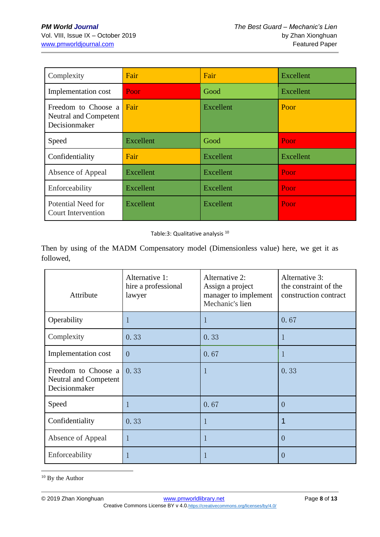| Complexity                                                    | Fair             | Fair             | <b>Excellent</b><br>Excellent |  |
|---------------------------------------------------------------|------------------|------------------|-------------------------------|--|
| Implementation cost                                           | Poor             | Good             |                               |  |
| Freedom to Choose a<br>Neutral and Competent<br>Decisionmaker | Fair             | Excellent        | Poor                          |  |
| Speed                                                         | <b>Excellent</b> | Good             | Poor                          |  |
| Confidentiality                                               | Fair             | Excellent        | Excellent                     |  |
| Absence of Appeal                                             | Excellent        | <b>Excellent</b> | Poor                          |  |
| Enforceability                                                | Excellent        | Excellent        | Poor                          |  |
| Potential Need for<br><b>Court Intervention</b>               | Excellent        | Excellent        | Poor                          |  |

Table:3: Qualitative analysis <sup>10</sup>

Then by using of the MADM Compensatory model (Dimensionless value) here, we get it as followed,

| Attribute                                                     | Alternative 1:<br>hire a professional<br>lawyer | Alternative 2:<br>Assign a project<br>manager to implement<br>Mechanic's lien | Alternative 3:<br>the constraint of the<br>construction contract |  |
|---------------------------------------------------------------|-------------------------------------------------|-------------------------------------------------------------------------------|------------------------------------------------------------------|--|
| Operability                                                   | 1                                               | 1                                                                             | 0.67                                                             |  |
| Complexity                                                    | 0.33                                            | 0.33                                                                          | 1                                                                |  |
| Implementation cost                                           | $\overline{0}$                                  | 0.67                                                                          | 1                                                                |  |
| Freedom to Choose a<br>Neutral and Competent<br>Decisionmaker | 0.33                                            | 1                                                                             | 0.33                                                             |  |
| Speed                                                         | 1                                               | 0.67                                                                          | $\overline{0}$                                                   |  |
| Confidentiality                                               | 0.33                                            | 1                                                                             | 1                                                                |  |
| Absence of Appeal                                             | 1                                               | 1                                                                             | $\Omega$                                                         |  |
| Enforceability                                                | 1                                               |                                                                               | $\left( \right)$                                                 |  |

<sup>10</sup> By the Author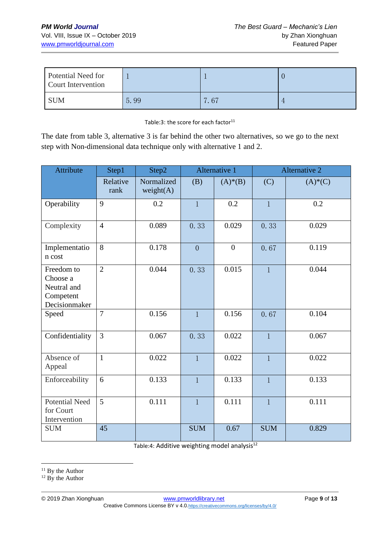| Potential Need for<br>Court Intervention |      |                                |  |
|------------------------------------------|------|--------------------------------|--|
| <b>SUM</b>                               | 5.99 | $\frac{7}{67}$<br>$\mathbf{r}$ |  |

Table:3: the score for each factor<sup>11</sup>

The date from table 3, alternative 3 is far behind the other two alternatives, so we go to the next step with Non-dimensional data technique only with alternative 1 and 2.

| Attribute                                                           | Step1            | Step2                      |                | Alternative 1    |              | <b>Alternative 2</b> |  |
|---------------------------------------------------------------------|------------------|----------------------------|----------------|------------------|--------------|----------------------|--|
|                                                                     | Relative<br>rank | Normalized<br>weight $(A)$ | (B)            | $(A) * (B)$      | (C)          | $(A)*(C)$            |  |
| Operability                                                         | 9                | 0.2                        | $\mathbf{1}$   | 0.2              | $\mathbf{1}$ | 0.2                  |  |
| Complexity                                                          | $\overline{4}$   | 0.089                      | 0.33           | 0.029            | 0.33         | 0.029                |  |
| Implementatio<br>n cost                                             | 8                | 0.178                      | $\overline{0}$ | $\boldsymbol{0}$ | 0.67         | 0.119                |  |
| Freedom to<br>Choose a<br>Neutral and<br>Competent<br>Decisionmaker | $\overline{2}$   | 0.044                      | 0.33           | 0.015            | $\mathbf{1}$ | 0.044                |  |
| Speed                                                               | $\overline{7}$   | 0.156                      | $\mathbf{1}$   | 0.156            | 0.67         | 0.104                |  |
| Confidentiality                                                     | $\overline{3}$   | 0.067                      | 0.33           | 0.022            | $\mathbf{1}$ | 0.067                |  |
| Absence of<br>Appeal                                                | $\mathbf{1}$     | 0.022                      | $\mathbf{1}$   | 0.022            | $\mathbf{1}$ | 0.022                |  |
| Enforceability                                                      | 6                | 0.133                      | $\mathbf{1}$   | 0.133            | $\mathbf{1}$ | 0.133                |  |
| <b>Potential Need</b><br>for Court<br>Intervention                  | 5                | 0.111                      | $\mathbf{1}$   | 0.111            | $\mathbf{1}$ | 0.111                |  |
| <b>SUM</b>                                                          | 45               |                            | <b>SUM</b>     | 0.67             | <b>SUM</b>   | 0.829                |  |

Table:4: Additive weighting model analysis<sup>12</sup>

<sup>12</sup> By the Author

<sup>&</sup>lt;sup>11</sup> By the Author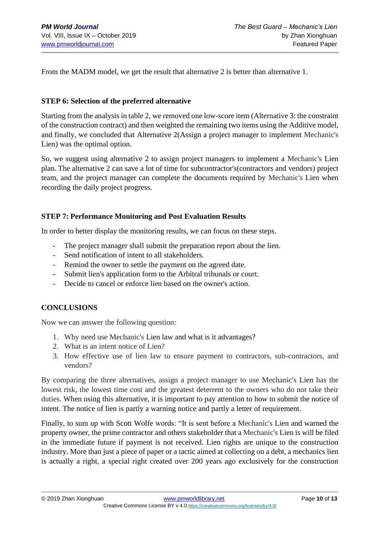From the MADM model, we get the result that alternative 2 is better than alternative 1.

#### **STEP 6: Selection of the preferred alternative**

Starting from the analysis in table 2, we removed one low-score item (Alternative 3: the constraint of the construction contract) and then weighted the remaining two items using the Additive model, and finally, we concluded that Alternative 2(Assign a project manager to implement Mechanic's Lien) was the optimal option.

So, we suggest using alternative 2 to assign project managers to implement a Mechanic's Lien plan. The alternative 2 can save a lot of time for subcontractor's(contractors and vendors) project team, and the project manager can complete the documents required by Mechanic's Lien when recording the daily project progress.

#### **STEP 7: Performance Monitoring and Post Evaluation Results**

In order to better display the monitoring results, we can focus on these steps.

- The project manager shall submit the preparation report about the lien.
- Send notification of intent to all stakeholders.
- Remind the owner to settle the payment on the agreed date.
- Submit lien's application form to the Arbitral tribunals or court.
- Decide to cancel or enforce lien based on the owner's action.

#### **CONCLUSIONS**

Now we can answer the following question:

- 1. Why need use Mechanic's Lien law and what is it advantages?
- 2. What is an intent notice of Lien?
- 3. How effective use of lien law to ensure payment to contractors, sub-contractors, and vendors?

By comparing the three alternatives, assign a project manager to use Mechanic's Lien has the lowest risk, the lowest time cost and the greatest deterrent to the owners who do not take their duties. When using this alternative, it is important to pay attention to how to submit the notice of intent. The notice of lien is partly a warning notice and partly a letter of requirement.

Finally, to sum up with Scott Wolfe words: "It is sent before a Mechanic's Lien and warned the property owner, the prime contractor and others stakeholder that a Mechanic's Lien is will be filed in the immediate future if payment is not received. Lien rights are unique to the construction industry. More than just a piece of paper or a tactic aimed at collecting on a debt, a mechanics lien is actually a right, a special right created over 200 years ago exclusively for the construction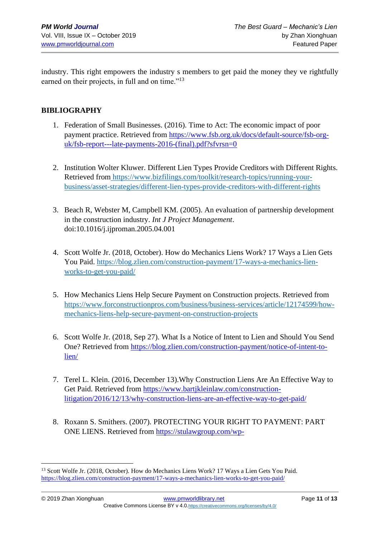industry. This right empowers the industry s members to get paid the money they ve rightfully earned on their projects, in full and on time."<sup>13</sup>

#### **BIBLIOGRAPHY**

- 1. Federation of Small Businesses. (2016). Time to Act: The economic impact of poor payment practice. Retrieved from [https://www.fsb.org.uk/docs/default-source/fsb-org](https://www.fsb.org.uk/docs/default-source/fsb-org-uk/fsb-report---late-payments-2016-(final).pdf?sfvrsn=0)[uk/fsb-report---late-payments-2016-\(final\).pdf?sfvrsn=0](https://www.fsb.org.uk/docs/default-source/fsb-org-uk/fsb-report---late-payments-2016-(final).pdf?sfvrsn=0)
- 2. Institution Wolter Kluwer. Different Lien Types Provide Creditors with Different Rights. Retrieved from [https://www.bizfilings.com/toolkit/research-topics/running-your](https://www.bizfilings.com/toolkit/research-topics/running-your-business/asset-strategies/different-lien-types-provide-creditors-with-different-rights)[business/asset-strategies/different-lien-types-provide-creditors-with-different-rights](https://www.bizfilings.com/toolkit/research-topics/running-your-business/asset-strategies/different-lien-types-provide-creditors-with-different-rights)
- 3. Beach R, Webster M, Campbell KM. (2005). An evaluation of partnership development in the construction industry. *Int J Project Management*. doi:10.1016/j.ijproman.2005.04.001
- 4. Scott Wolfe Jr. (2018, October). How do Mechanics Liens Work? 17 Ways a Lien Gets You Paid. [https://blog.zlien.com/construction-payment/17-ways-a-mechanics-lien](https://blog.zlien.com/construction-payment/17-ways-a-mechanics-lien-works-to-get-you-paid/)[works-to-get-you-paid/](https://blog.zlien.com/construction-payment/17-ways-a-mechanics-lien-works-to-get-you-paid/)
- 5. How Mechanics Liens Help Secure Payment on Construction projects. Retrieved from [https://www.forconstructionpros.com/business/business-services/article/12174599/how](https://www.forconstructionpros.com/business/business-services/article/12174599/how-mechanics-liens-help-secure-payment-on-construction-projects)[mechanics-liens-help-secure-payment-on-construction-projects](https://www.forconstructionpros.com/business/business-services/article/12174599/how-mechanics-liens-help-secure-payment-on-construction-projects)
- 6. Scott Wolfe Jr. (2018, Sep 27). What Is a Notice of Intent to Lien and Should You Send One? Retrieved from [https://blog.zlien.com/construction-payment/notice-of-intent-to](https://blog.zlien.com/construction-payment/notice-of-intent-to-lien/)[lien/](https://blog.zlien.com/construction-payment/notice-of-intent-to-lien/)
- 7. Terel L. Klein. (2016, December 13).Why Construction Liens Are An Effective Way to Get Paid. Retrieved from [https://www.bartjkleinlaw.com/construction](https://www.bartjkleinlaw.com/construction-litigation/2016/12/13/why-construction-liens-are-an-effective-way-to-get-paid/)[litigation/2016/12/13/why-construction-liens-are-an-effective-way-to-get-paid/](https://www.bartjkleinlaw.com/construction-litigation/2016/12/13/why-construction-liens-are-an-effective-way-to-get-paid/)
- 8. Roxann S. Smithers. (2007). PROTECTING YOUR RIGHT TO PAYMENT: PART ONE LIENS. Retrieved from [https://stulawgroup.com/wp-](https://stulawgroup.com/wp-content/uploads/2012/05/Equal-Construction-Record-re.-Liens-A0127066-3web-version1.pdf)

<sup>&</sup>lt;sup>13</sup> Scott Wolfe Jr. (2018, October). How do Mechanics Liens Work? 17 Ways a Lien Gets You Paid. <https://blog.zlien.com/construction-payment/17-ways-a-mechanics-lien-works-to-get-you-paid/>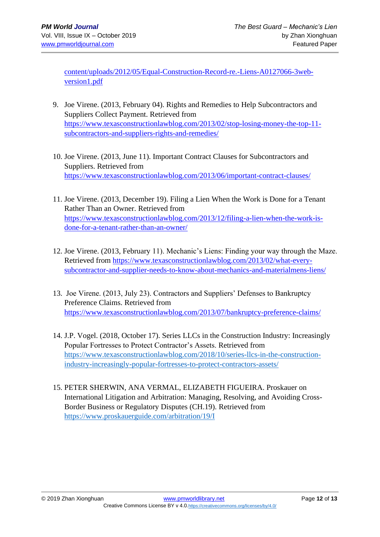[content/uploads/2012/05/Equal-Construction-Record-re.-Liens-A0127066-3web](https://stulawgroup.com/wp-content/uploads/2012/05/Equal-Construction-Record-re.-Liens-A0127066-3web-version1.pdf)[version1.pdf](https://stulawgroup.com/wp-content/uploads/2012/05/Equal-Construction-Record-re.-Liens-A0127066-3web-version1.pdf)

- 9. Joe Virene. (2013, February 04). Rights and Remedies to Help Subcontractors and Suppliers Collect Payment. Retrieved from [https://www.texasconstructionlawblog.com/2013/02/stop-losing-money-the-top-11](https://www.texasconstructionlawblog.com/2013/02/stop-losing-money-the-top-11-subcontractors-and-suppliers-rights-and-remedies/) [subcontractors-and-suppliers-rights-and-remedies/](https://www.texasconstructionlawblog.com/2013/02/stop-losing-money-the-top-11-subcontractors-and-suppliers-rights-and-remedies/)
- 10. Joe Virene. (2013, June 11). Important Contract Clauses for Subcontractors and Suppliers. Retrieved from <https://www.texasconstructionlawblog.com/2013/06/important-contract-clauses/>
- 11. Joe Virene. (2013, December 19). Filing a Lien When the Work is Done for a Tenant Rather Than an Owner. Retrieved from [https://www.texasconstructionlawblog.com/2013/12/filing-a-lien-when-the-work-is](https://www.texasconstructionlawblog.com/2013/12/filing-a-lien-when-the-work-is-done-for-a-tenant-rather-than-an-owner/)[done-for-a-tenant-rather-than-an-owner/](https://www.texasconstructionlawblog.com/2013/12/filing-a-lien-when-the-work-is-done-for-a-tenant-rather-than-an-owner/)
- 12. Joe Virene. (2013, February 11). Mechanic's Liens: Finding your way through the Maze. Retrieved from [https://www.texasconstructionlawblog.com/2013/02/what-every](https://www.texasconstructionlawblog.com/2013/02/what-every-subcontractor-and-supplier-needs-to-know-about-mechanics-and-materialmens-liens/)[subcontractor-and-supplier-needs-to-know-about-mechanics-and-materialmens-liens/](https://www.texasconstructionlawblog.com/2013/02/what-every-subcontractor-and-supplier-needs-to-know-about-mechanics-and-materialmens-liens/)
- 13. Joe Virene. (2013, July 23). Contractors and Suppliers' Defenses to Bankruptcy Preference Claims. Retrieved from <https://www.texasconstructionlawblog.com/2013/07/bankruptcy-preference-claims/>
- 14. J.P. Vogel. (2018, October 17). Series LLCs in the Construction Industry: Increasingly Popular Fortresses to Protect Contractor's Assets. Retrieved from [https://www.texasconstructionlawblog.com/2018/10/series-llcs-in-the-construction](https://www.texasconstructionlawblog.com/2018/10/series-llcs-in-the-construction-industry-increasingly-popular-fortresses-to-protect-contractors-assets/)[industry-increasingly-popular-fortresses-to-protect-contractors-assets/](https://www.texasconstructionlawblog.com/2018/10/series-llcs-in-the-construction-industry-increasingly-popular-fortresses-to-protect-contractors-assets/)
- 15. PETER SHERWIN, ANA VERMAL, ELIZABETH FIGUEIRA. Proskauer on International Litigation and Arbitration: Managing, Resolving, and Avoiding Cross-Border Business or Regulatory Disputes (CH.19). Retrieved from <https://www.proskauerguide.com/arbitration/19/I>